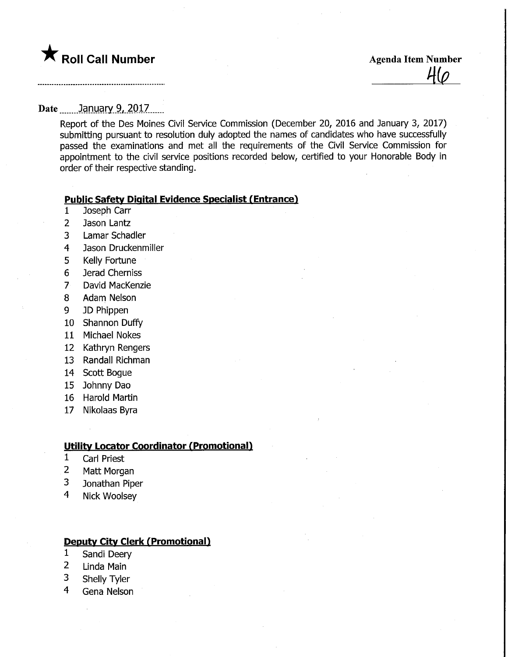

## Date ........January 9, 2017......

Report of the Des Moines Civil Service Commission (December 20, 2016 and January 3, 2017) submitting pursuant to resolution duly adopted the names of candidates who have successfully passed the examinations and met all the requirements of the Civil Service Commission for appointment to the civil service positions recorded below, certified to your Honorable Body in order of their respective standing.

# **Public Safety Digital Evidence Specialist (Entrance)**

- 1 Joseph Carr
- 2 Jason Lantz
- 3 Lamar Schadler
- 4 Jason Druckenmiller
- 5 Kelly Fortune
- 6 Jerad Cherniss
- 7 David MacKenzie
- 8 Adam Nelson
- 9 JD Phippen
- 10 Shannon Duffy
- 11 Michael Nokes
- 12 Kathryn Rengers
- 13 Randall Richman
- 14 Scott Bogue
- 15 Johnny Dao
- 16 Harold Martin
- 17 Nikolaas Byra

### Utility Locator Coordinator (Promotional)

- 1 Carl Priest
- 2 Matt Morgan
- 3 Jonathan Piper
- 4 Nick Woolsey

### Deputy City Clerk (Promotional)

- 1 Sandi Deery
- 2 Linda Main
- 3 Shelly Tyler
- 4 Gena Nelson